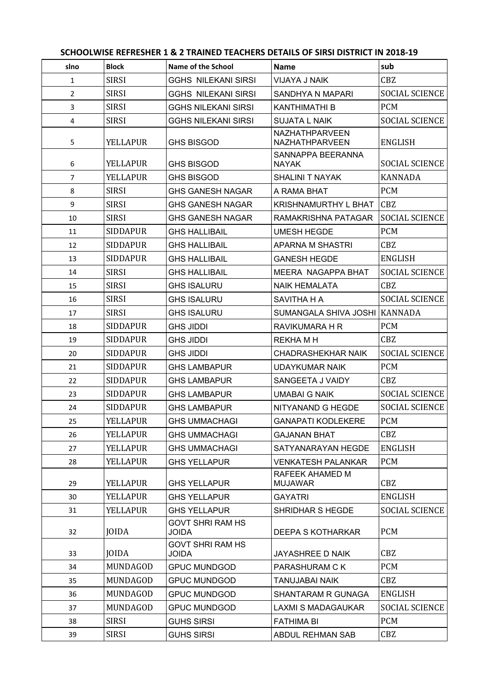## **SCHOOLWISE REFRESHER 1 & 2 TRAINED TEACHERS DETAILS OF SIRSI DISTRICT IN 2018-19**

| slno           | <b>Block</b>    | <b>Name of the School</b>               | <b>Name</b>                             | sub                   |
|----------------|-----------------|-----------------------------------------|-----------------------------------------|-----------------------|
| $\mathbf{1}$   | <b>SIRSI</b>    | <b>GGHS NILEKANI SIRSI</b>              | <b>VIJAYA J NAIK</b>                    | CBZ                   |
| $\overline{2}$ | <b>SIRSI</b>    | <b>GGHS NILEKANI SIRSI</b>              | SANDHYA N MAPARI                        | <b>SOCIAL SCIENCE</b> |
| 3              | <b>SIRSI</b>    | <b>GGHS NILEKANI SIRSI</b>              | <b>KANTHIMATHI B</b>                    | <b>PCM</b>            |
| $\overline{4}$ | <b>SIRSI</b>    | <b>GGHS NILEKANI SIRSI</b>              | <b>SUJATA L NAIK</b>                    | <b>SOCIAL SCIENCE</b> |
| 5              | <b>YELLAPUR</b> | <b>GHS BISGOD</b>                       | <b>NAZHATHPARVEEN</b><br>NAZHATHPARVEEN | <b>ENGLISH</b>        |
| 6              | <b>YELLAPUR</b> | <b>GHS BISGOD</b>                       | SANNAPPA BEERANNA<br><b>NAYAK</b>       | <b>SOCIAL SCIENCE</b> |
| $\overline{7}$ | <b>YELLAPUR</b> | <b>GHS BISGOD</b>                       | <b>SHALINI T NAYAK</b>                  | <b>KANNADA</b>        |
| 8              | <b>SIRSI</b>    | <b>GHS GANESH NAGAR</b>                 | A RAMA BHAT                             | <b>PCM</b>            |
| 9              | <b>SIRSI</b>    | <b>GHS GANESH NAGAR</b>                 | <b>KRISHNAMURTHY L BHAT</b>             | CBZ                   |
| 10             | <b>SIRSI</b>    | <b>GHS GANESH NAGAR</b>                 | RAMAKRISHNA PATAGAR                     | <b>SOCIAL SCIENCE</b> |
| 11             | <b>SIDDAPUR</b> | <b>GHS HALLIBAIL</b>                    | <b>UMESH HEGDE</b>                      | <b>PCM</b>            |
| 12             | <b>SIDDAPUR</b> | <b>GHS HALLIBAIL</b>                    | <b>APARNA M SHASTRI</b>                 | CBZ                   |
| 13             | <b>SIDDAPUR</b> | <b>GHS HALLIBAIL</b>                    | <b>GANESH HEGDE</b>                     | <b>ENGLISH</b>        |
| 14             | <b>SIRSI</b>    | <b>GHS HALLIBAIL</b>                    | MEERA NAGAPPA BHAT                      | <b>SOCIAL SCIENCE</b> |
| 15             | <b>SIRSI</b>    | <b>GHS ISALURU</b>                      | <b>NAIK HEMALATA</b>                    | CBZ                   |
| 16             | <b>SIRSI</b>    | <b>GHS ISALURU</b>                      | SAVITHA H A                             | <b>SOCIAL SCIENCE</b> |
| 17             | <b>SIRSI</b>    | <b>GHS ISALURU</b>                      | SUMANGALA SHIVA JOSHI                   | KANNADA               |
| 18             | <b>SIDDAPUR</b> | <b>GHS JIDDI</b>                        | RAVIKUMARA H R                          | <b>PCM</b>            |
| 19             | <b>SIDDAPUR</b> | <b>GHS JIDDI</b>                        | REKHA M H                               | CBZ                   |
| 20             | <b>SIDDAPUR</b> | <b>GHS JIDDI</b>                        | <b>CHADRASHEKHAR NAIK</b>               | <b>SOCIAL SCIENCE</b> |
| 21             | <b>SIDDAPUR</b> | <b>GHS LAMBAPUR</b>                     | <b>UDAYKUMAR NAIK</b>                   | <b>PCM</b>            |
| 22             | <b>SIDDAPUR</b> | <b>GHS LAMBAPUR</b>                     | SANGEETA J VAIDY                        | CBZ                   |
| 23             | <b>SIDDAPUR</b> | <b>GHS LAMBAPUR</b>                     | <b>UMABAI G NAIK</b>                    | <b>SOCIAL SCIENCE</b> |
| 24             | <b>SIDDAPUR</b> | <b>GHS LAMBAPUR</b>                     | NITYANAND G HEGDE                       | <b>SOCIAL SCIENCE</b> |
| 25             | <b>YELLAPUR</b> | <b>GHS UMMACHAGI</b>                    | <b>GANAPATI KODLEKERE</b>               | <b>PCM</b>            |
| 26             | <b>YELLAPUR</b> | <b>GHS UMMACHAGI</b>                    | <b>GAJANAN BHAT</b>                     | CBZ                   |
| 27             | <b>YELLAPUR</b> | <b>GHS UMMACHAGI</b>                    | SATYANARAYAN HEGDE                      | <b>ENGLISH</b>        |
| 28             | <b>YELLAPUR</b> | <b>GHS YELLAPUR</b>                     | <b>VENKATESH PALANKAR</b>               | <b>PCM</b>            |
| 29             | <b>YELLAPUR</b> | <b>GHS YELLAPUR</b>                     | RAFEEK AHAMED M<br><b>MUJAWAR</b>       | CBZ                   |
| 30             | <b>YELLAPUR</b> | <b>GHS YELLAPUR</b>                     | <b>GAYATRI</b>                          | <b>ENGLISH</b>        |
| 31             | <b>YELLAPUR</b> | <b>GHS YELLAPUR</b>                     | SHRIDHAR S HEGDE                        | <b>SOCIAL SCIENCE</b> |
| 32             | <b>JOIDA</b>    | GOVT SHRI RAM HS<br><b>JOIDA</b>        | <b>DEEPA S KOTHARKAR</b>                | <b>PCM</b>            |
| 33             | JOIDA           | <b>GOVT SHRI RAM HS</b><br><b>JOIDA</b> | JAYASHREE D NAIK                        | CBZ                   |
| 34             | MUNDAGOD        | <b>GPUC MUNDGOD</b>                     | PARASHURAM C K                          | <b>PCM</b>            |
| 35             | MUNDAGOD        | <b>GPUC MUNDGOD</b>                     | <b>TANUJABAI NAIK</b>                   | CBZ                   |
| 36             | MUNDAGOD        | <b>GPUC MUNDGOD</b>                     | <b>SHANTARAM R GUNAGA</b>               | <b>ENGLISH</b>        |
| 37             | MUNDAGOD        | <b>GPUC MUNDGOD</b>                     | <b>LAXMI S MADAGAUKAR</b>               | <b>SOCIAL SCIENCE</b> |
| 38             | <b>SIRSI</b>    | <b>GUHS SIRSI</b>                       | <b>FATHIMA BI</b>                       | <b>PCM</b>            |
| 39             | <b>SIRSI</b>    | <b>GUHS SIRSI</b>                       | ABDUL REHMAN SAB                        | CBZ                   |